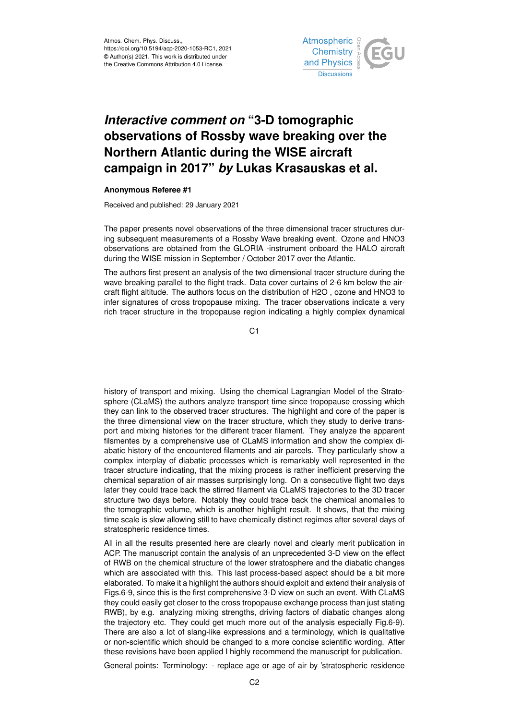

## *Interactive comment on* **"3-D tomographic observations of Rossby wave breaking over the Northern Atlantic during the WISE aircraft campaign in 2017"** *by* **Lukas Krasauskas et al.**

## **Anonymous Referee #1**

Received and published: 29 January 2021

The paper presents novel observations of the three dimensional tracer structures during subsequent measurements of a Rossby Wave breaking event. Ozone and HNO3 observations are obtained from the GLORIA -instrument onboard the HALO aircraft during the WISE mission in September / October 2017 over the Atlantic.

The authors first present an analysis of the two dimensional tracer structure during the wave breaking parallel to the flight track. Data cover curtains of 2-6 km below the aircraft flight altitude. The authors focus on the distribution of H2O , ozone and HNO3 to infer signatures of cross tropopause mixing. The tracer observations indicate a very rich tracer structure in the tropopause region indicating a highly complex dynamical

C1

history of transport and mixing. Using the chemical Lagrangian Model of the Stratosphere (CLaMS) the authors analyze transport time since tropopause crossing which they can link to the observed tracer structures. The highlight and core of the paper is the three dimensional view on the tracer structure, which they study to derive transport and mixing histories for the different tracer filament. They analyze the apparent filsmentes by a comprehensive use of CLaMS information and show the complex diabatic history of the encountered filaments and air parcels. They particularly show a complex interplay of diabatic processes which is remarkably well represented in the tracer structure indicating, that the mixing process is rather inefficient preserving the chemical separation of air masses surprisingly long. On a consecutive flight two days later they could trace back the stirred filament via CLaMS trajectories to the 3D tracer structure two days before. Notably they could trace back the chemical anomalies to the tomographic volume, which is another highlight result. It shows, that the mixing time scale is slow allowing still to have chemically distinct regimes after several days of stratospheric residence times.

All in all the results presented here are clearly novel and clearly merit publication in ACP. The manuscript contain the analysis of an unprecedented 3-D view on the effect of RWB on the chemical structure of the lower stratosphere and the diabatic changes which are associated with this. This last process-based aspect should be a bit more elaborated. To make it a highlight the authors should exploit and extend their analysis of Figs.6-9, since this is the first comprehensive 3-D view on such an event. With CLaMS they could easily get closer to the cross tropopause exchange process than just stating RWB), by e.g. analyzing mixing strengths, driving factors of diabatic changes along the trajectory etc. They could get much more out of the analysis especially Fig.6-9). There are also a lot of slang-like expressions and a terminology, which is qualitative or non-scientific which should be changed to a more concise scientific wording. After these revisions have been applied I highly recommend the manuscript for publication.

General points: Terminology: - replace age or age of air by 'stratospheric residence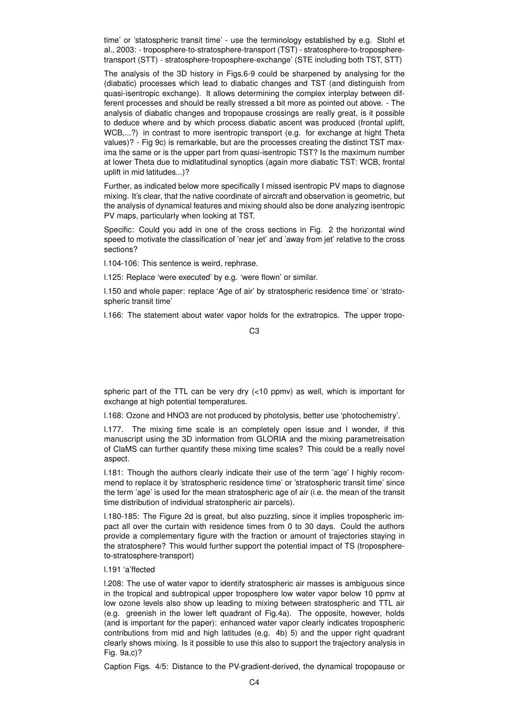time' or 'statospheric transit time' - use the terminology established by e.g. Stohl et al., 2003: - troposphere-to-stratosphere-transport (TST) - stratosphere-to-tropospheretransport (STT) - stratosphere-troposphere-exchange' (STE including both TST, STT)

The analysis of the 3D history in Figs.6-9 could be sharpened by analysing for the (diabatic) processes which lead to diabatic changes and TST (and distinguish from quasi-isentropic exchange). It allows determining the complex interplay between different processes and should be really stressed a bit more as pointed out above. - The analysis of diabatic changes and tropopause crossings are really great, is it possible to deduce where and by which process diabatic ascent was produced (frontal uplift, WCB,...?) in contrast to more isentropic transport (e.g. for exchange at hight Theta values)? - Fig 9c) is remarkable, but are the processes creating the distinct TST maxima the same or is the upper part from quasi-isentropic TST? Is the maximum number at lower Theta due to midlatitudinal synoptics (again more diabatic TST: WCB, frontal uplift in mid latitudes...)?

Further, as indicated below more specifically I missed isentropic PV maps to diagnose mixing. It's clear, that the native coordinate of aircraft and observation is geometric, but the analysis of dynamical features and mixing should also be done analyzing isentropic PV maps, particularly when looking at TST.

Specific: Could you add in one of the cross sections in Fig. 2 the horizontal wind speed to motivate the classification of 'near jet' and 'away from jet' relative to the cross sections?

l.104-106: This sentence is weird, rephrase.

l.125: Replace 'were executed' by e.g. 'were flown' or similar.

l.150 and whole paper: replace 'Age of air' by stratospheric residence time' or 'stratospheric transit time'

l.166: The statement about water vapor holds for the extratropics. The upper tropo-

## C3

spheric part of the TTL can be very dry  $(<10$  ppmv) as well, which is important for exchange at high potential temperatures.

l.168: Ozone and HNO3 are not produced by photolysis, better use 'photochemistry'.

l.177. The mixing time scale is an completely open issue and I wonder, if this manuscript using the 3D information from GLORIA and the mixing parametreisation of ClaMS can further quantify these mixing time scales? This could be a really novel aspect.

l.181: Though the authors clearly indicate their use of the term 'age' I highly recommend to replace it by 'stratospheric residence time' or 'stratospheric transit time' since the term 'age' is used for the mean stratospheric age of air (i.e. the mean of the transit time distribution of individual stratospheric air parcels).

l.180-185: The Figure 2d is great, but also puzzling, since it implies tropospheric impact all over the curtain with residence times from 0 to 30 days. Could the authors provide a complementary figure with the fraction or amount of trajectories staying in the stratosphere? This would further support the potential impact of TS (troposphereto-stratosphere-transport)

## l.191 'a'ffected

l.208: The use of water vapor to identify stratospheric air masses is ambiguous since in the tropical and subtropical upper troposphere low water vapor below 10 ppmv at low ozone levels also show up leading to mixing between stratospheric and TTL air (e.g. greenish in the lower left quadrant of Fig.4a). The opposite, however, holds (and is important for the paper): enhanced water vapor clearly indicates tropospheric contributions from mid and high latitudes (e.g. 4b) 5) and the upper right quadrant clearly shows mixing. Is it possible to use this also to support the trajectory analysis in Fig. 9a,c)?

Caption Figs. 4/5: Distance to the PV-gradient-derived, the dynamical tropopause or